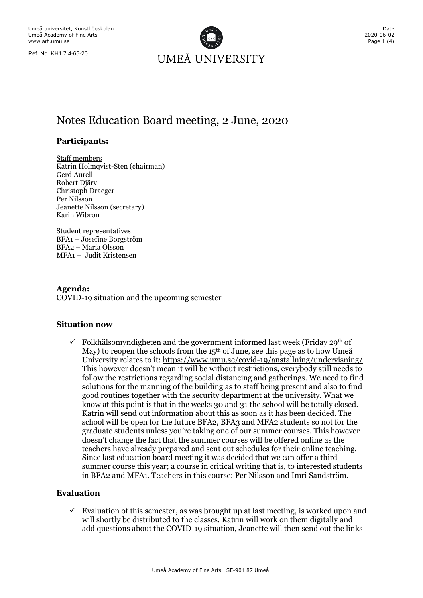

# Notes Education Board meeting, 2 June, 2020

#### **Participants:**

Staff members Katrin Holmqvist-Sten (chairman) Gerd Aurell Robert Djärv Christoph Draeger Per Nilsson Jeanette Nilsson (secretary) Karin Wibron

Student representatives BFA1 – Josefine Borgström BFA2 – Maria Olsson MFA1 – Judit Kristensen

**Agenda:** COVID-19 situation and the upcoming semester

#### **Situation now**

Folkhälsomyndigheten and the government informed last week (Friday 29<sup>th</sup> of May) to reopen the schools from the  $15<sup>th</sup>$  of June, see this page as to how Umeå University relates to it:<https://www.umu.se/covid-19/anstallning/undervisning/> This however doesn't mean it will be without restrictions, everybody still needs to follow the restrictions regarding social distancing and gatherings. We need to find solutions for the manning of the building as to staff being present and also to find good routines together with the security department at the university. What we know at this point is that in the weeks 30 and 31 the school will be totally closed. Katrin will send out information about this as soon as it has been decided. The school will be open for the future BFA2, BFA3 and MFA2 students so not for the graduate students unless you're taking one of our summer courses. This however doesn't change the fact that the summer courses will be offered online as the teachers have already prepared and sent out schedules for their online teaching. Since last education board meeting it was decided that we can offer a third summer course this year; a course in critical writing that is, to interested students in BFA2 and MFA1. Teachers in this course: Per Nilsson and Imri Sandström.

#### **Evaluation**

 $\checkmark$  Evaluation of this semester, as was brought up at last meeting, is worked upon and will shortly be distributed to the classes. Katrin will work on them digitally and add questions about the COVID-19 situation, Jeanette will then send out the links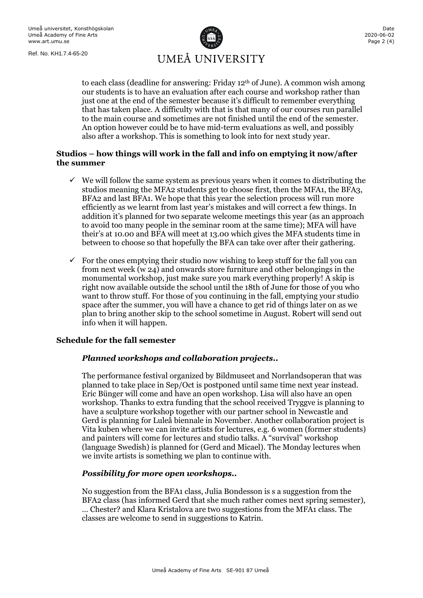

to each class (deadline for answering: Friday  $12<sup>th</sup>$  of June). A common wish among our students is to have an evaluation after each course and workshop rather than just one at the end of the semester because it's difficult to remember everything that has taken place. A difficulty with that is that many of our courses run parallel to the main course and sometimes are not finished until the end of the semester. An option however could be to have mid-term evaluations as well, and possibly also after a workshop. This is something to look into for next study year.

### **Studios – how things will work in the fall and info on emptying it now/after the summer**

- $\checkmark$  We will follow the same system as previous years when it comes to distributing the studios meaning the MFA2 students get to choose first, then the MFA1, the BFA3, BFA2 and last BFA1. We hope that this year the selection process will run more efficiently as we learnt from last year's mistakes and will correct a few things. In addition it's planned for two separate welcome meetings this year (as an approach to avoid too many people in the seminar room at the same time); MFA will have their's at 10.00 and BFA will meet at 13.00 which gives the MFA students time in between to choose so that hopefully the BFA can take over after their gathering.
- $\checkmark$  For the ones emptying their studio now wishing to keep stuff for the fall you can from next week (w 24) and onwards store furniture and other belongings in the monumental workshop, just make sure you mark everything properly! A skip is right now available outside the school until the 18th of June for those of you who want to throw stuff. For those of you continuing in the fall, emptying your studio space after the summer, you will have a chance to get rid of things later on as we plan to bring another skip to the school sometime in August. Robert will send out info when it will happen.

#### **Schedule for the fall semester**

#### *Planned workshops and collaboration projects..*

The performance festival organized by Bildmuseet and Norrlandsoperan that was planned to take place in Sep/Oct is postponed until same time next year instead. Eric Bünger will come and have an open workshop. Lisa will also have an open workshop. Thanks to extra funding that the school received Tryggve is planning to have a sculpture workshop together with our partner school in Newcastle and Gerd is planning for Luleå biennale in November. Another collaboration project is Vita kuben where we can invite artists for lectures, e.g. 6 women (former students) and painters will come for lectures and studio talks. A "survival" workshop (language Swedish) is planned for (Gerd and Micael). The Monday lectures when we invite artists is something we plan to continue with.

#### *Possibility for more open workshops..*

No suggestion from the BFA1 class, Julia B0ndesson is s a suggestion from the BFA2 class (has informed Gerd that she much rather comes next spring semester),

… Chester? and Klara Kristalova are two suggestions from the MFA1 class. The classes are welcome to send in suggestions to Katrin.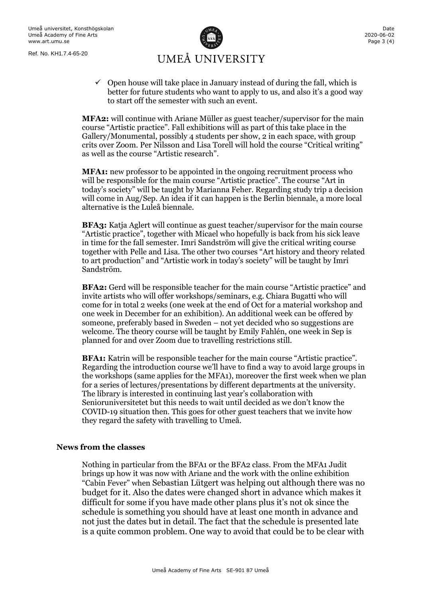

 $\checkmark$  Open house will take place in January instead of during the fall, which is better for future students who want to apply to us, and also it's a good way to start off the semester with such an event.

**MFA2:** will continue with Ariane Müller as guest teacher/supervisor for the main course "Artistic practice". Fall exhibitions will as part of this take place in the Gallery/Monumental, possibly 4 students per show, 2 in each space, with group crits over Zoom. Per Nilsson and Lisa Torell will hold the course "Critical writing" as well as the course "Artistic research".

**MFA1:** new professor to be appointed in the ongoing recruitment process who will be responsible for the main course "Artistic practice". The course "Art in today's society" will be taught by Marianna Feher. Regarding study trip a decision will come in Aug/Sep. An idea if it can happen is the Berlin biennale, a more local alternative is the Luleå biennale.

**BFA3:** Katja Aglert will continue as guest teacher/supervisor for the main course "Artistic practice", together with Micael who hopefully is back from his sick leave in time for the fall semester. Imri Sandström will give the critical writing course together with Pelle and Lisa. The other two courses "Art history and theory related to art production" and "Artistic work in today's society" will be taught by Imri Sandström.

**BFA2:** Gerd will be responsible teacher for the main course "Artistic practice" and invite artists who will offer workshops/seminars, e.g. Chiara Bugatti who will come for in total 2 weeks (one week at the end of Oct for a material workshop and one week in December for an exhibition). An additional week can be offered by someone, preferably based in Sweden – not yet decided who so suggestions are welcome. The theory course will be taught by Emily Fahlén, one week in Sep is planned for and over Zoom due to travelling restrictions still.

**BFA1:** Katrin will be responsible teacher for the main course "Artistic practice". Regarding the introduction course we'll have to find a way to avoid large groups in the workshops (same applies for the MFA1), moreover the first week when we plan for a series of lectures/presentations by different departments at the university. The library is interested in continuing last year's collaboration with Senioruniversitetet but this needs to wait until decided as we don't know the COVID-19 situation then. This goes for other guest teachers that we invite how they regard the safety with travelling to Umeå.

#### **News from the classes**

Nothing in particular from the BFA1 or the BFA2 class. From the MFA1 Judit brings up how it was now with Ariane and the work with the online exhibition "Cabin Fever" when Sebastian Lütgert was helping out although there was no budget for it. Also the dates were changed short in advance which makes it difficult for some if you have made other plans plus it's not ok since the schedule is something you should have at least one month in advance and not just the dates but in detail. The fact that the schedule is presented late is a quite common problem. One way to avoid that could be to be clear with